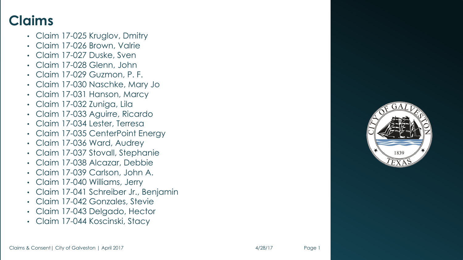#### **Claims**

- Claim 17 -025 Kruglov, Dmitry
- Claim 17 -026 Brown, Valrie
- Claim 17 -027 Duske, Sven
- Claim 17 -028 Glenn, John
- Claim 17 -029 Guzmon, P. F.
- Claim 17 -030 Naschke, Mary Jo
- Claim 17 -031 Hanson, Marcy
- Claim 17 -032 Zuniga, Lila
- Claim 17 -033 Aguirre, Ricardo
- Claim 17 -034 Lester, Terresa
- Claim 17 -035 CenterPoint Energy
- Claim 17 -036 Ward, Audrey
- Claim 17 -037 Stovall, Stephanie
- Claim 17 -038 Alcazar, Debbie
- Claim 17 -039 Carlson, John A.
- Claim 17 -040 Williams, Jerry
- Claim 17 -041 Schreiber Jr., Benjamin
- Claim 17 -042 Gonzales, Stevie
- Claim 17 -043 Delgado, Hector
- Claim 17 -044 Koscinski, Stacy



Page 1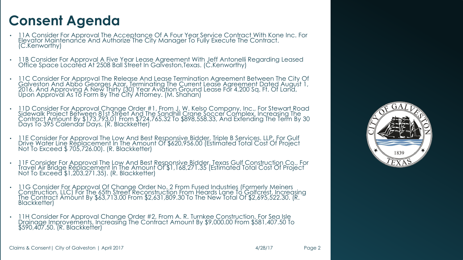- 11A Consider For Approval The Acceptance Of A Four Year Service Contract With Kone Inc. For Elevator Maintenance And Authorize The City Manager To Fully Execute The Contract. (C.Kenworthy)
- 11B Consider For Approval A Five Year Lease Agreement With Jeff Antonelli Regarding Leased<br>Office Space Located At 2508 Ball Street In Galveston,Texas. (C.Kenworthy)
- 11C Consider For Approval The Release And Lease Termination Agreement Between The City Of<br>Galveston And Abbo Georges Azar, Terminating The Current Lease Agreement Dated August 1,<br>2016, And Approving A New Thirty (30) Yea Upon Approval As To Form By The City Attorney. (M. Shahan)
- 11D Consider For Approval Change Order #1, From J. W. Kelso Company, Inc., For Stewart Road<br>Sidewalk Project Between 81st Street And The Sandhill Crane Soccer Complex, Increasing The<br>Contract Amount By \$173,793.01 From \$
- · 11E Consider For Approval The Low And Best Responsive Bidder, Triple B Services. LLP, For Gulf Drive Water Line Replacement In The Amount Of \$620,956.00 (Estimated Total Cost Of Project Not To Exceed \$705,726.00). (R. Bl
- 11F Consider For Approval The Low And Best Responsive Bidder, Texas Gulf Construction Co., For<br>Travel Air Bridge Replacement In The Amount Of \$1,168,271.35 (Estimated Total Cost Of Project<br>Not To Exceed \$1,203,271.35). (
- 11G Consider For Approval Of Change Order No. 2 From Fused Industries (Formerly Meiners Construction, LLC) For The 65th Street Reconstruction From Heards Lane To Golfcrest, Increasing<br>The Contract Amount By \$63,713.00 From \$2,631,809.30 To The New Total Of \$2,695,522.30. (R. The Contract Amóunt By \$63,713.00 From \$2,631,809.30 To The New Total Of \$2,695,522.30. (R.<br>Blackketter)
- 11H Consider For Approval Change Order #2, From A. R. Turnkee Construction, For Sea Isle Drainage Improvements, Increasiñg The Contract Amount By \$9,000.00 From \$581,407.50 To<br>\$590,407.50. (R. Blackketter)

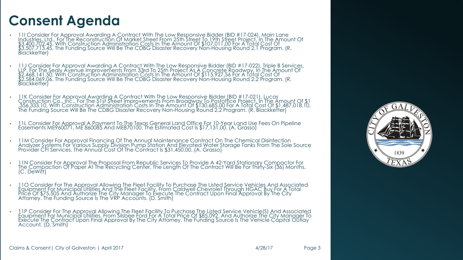- . 11 Consider For Approval Awarding A Contract With The Low Responsive Bidder (BID #17-024), Main Lane<br>Industries, Ltd., For The Reconstruction Of Market Street From 25th Street To 19th Street Project, In The Amount Of<br>S3, \$3,507,713.45. The Funding Source Will Be The CDBG Disaster Recovery Non-Housing Round 2.1 Program. (R. Blackketter)
- 11J Consider For Approval Awarding A Contract With The Low Responsive Bidder (BID #17-022), Triple B Services,<br>LLP, For The Sealy Avenue Improvements From 33rd To 25th Project As A Concrete Roadway, In The Amount Of<br>\$2,4
- 11K Consider For Approval Awarding A Contract With The Low Responsive Bidder (BID #17-021), Lucas<br>Construction Co., Inc., For The 51st Street Improvements From Broadway To Postoffice Project, In The Amount Of<br>156,333.10,
- 11L Consider For Approval A Payment To The Texas General Land Office For 10-Year Land Use Fees On Pipeline<br>Easements ME960071, ME 860085 And ME870100. The Estimated Cost Is \$17,131.00. (A. Grasso)
- 11M Consider For Approval Financing Of The Annual Maintenance Contract On The Chemical Disinfection<br>Analyzer Systems For Various Supply Division Pump Station And Elevated Water Storage Tanks From The Sole Source<br>Provider
- 11N Consider For Approval The Proposal From Republic Services To Provide A 42-Yard Stationary Compactor For<br>The Compaction Of Paper At The Recycling Center. The Length Of The Contract Will Be For Thirty-Six (36) Months.<br>
- 110 Consider For The Approval Allowing The Fleet Facility To Purchase The Listed Service Vehicles And Associated<br>Equipment For Municipal Utilities And The Fleet Facility, From Caldwell Chevrolet Through HGAC Buy For A To
- 11P Consider For The Approval Allowing The Fleet Facility To Purchase The Listed Service Vehicle(S) And Associated<br>Equipment For Municipal Utilities, From Silsbee Ford For A Total Price Of \$85,092. And Authorize The City



Claims & Consent| City of Galveston | April 2017 4/28/17 Page 3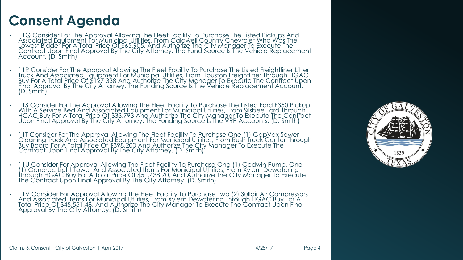- I 1Q Consider For The Approval Allowing The Fleet Facility To Purchase The Listed Pickups And Associated Equipment For Municipal Utilities, From Caldwell Country Chevrolet Who Was The<br>Lowest Bidder For A Total Price Of \$65 Contract Upon Final Approval By The City Attorney. The Fund Source Is The Vehicle Replacement<br>Account. (D. Smith)
- 11R Consider For The Approval Allowing The Fleet Facility To Purchase The Listed Freightliner Litter<br>Truck And Associated Equipment For Municipal Utilities, From Houston Freightliner Through HGAC<br>Buy For A Total Price Of (D. Smith)
- I IS Consider For The Approval Allowing The Fleet Facility To Purchase The Listed Ford F350 Pickup .<br>With A Service Bed And Associated Equipment For Municipal Utilities, From Silsbee Ford Through<br>HGAC\_Buy For A Total Price Upon Final Approval By The City Aftorney. The Funding Source Is The VRP Accounts. (D. Smith)
- 11T Consider For The Approval Allowing The Fleet Facility To Purchase One (1) GapVax Sewer Cleaning Truck And Associated Equipment For Municipal Utilities, From Rush Truck Center Through<br>Buy Board For A Total Price Of \$398,200 And Authorize The City Manager To Execute The Contract Upon Final Approval By The City Attorney. (D. Smith)
- 110 Consider For Approval Allowing The Fleet Facility To Purchase One (1) Godwin Pump, One<br>[1] Generac Light Tower And Associated Items For Municipal Utilities, From Xylem Dewatering Through HGAC Buy For A Total Price Of \$51,438.70, And Authorize The City Manager To Execute<br>The Contract Upon Final Approval By The City Attorney. (D. Smith)
- I IV Consider For Approval Allowing The Fleet Facility To Purchase Two (2) Sullair Air Compressors .<br>And Associated Items For Municipal Utilities, From Xylem Dewatering Through HGAC Buy For A<br>Total Price Of \$45,551.48, And Approval By The City Attorney. (D. Smith)

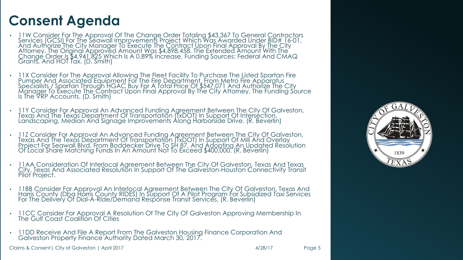- 11W Consider For The Approval Of The Change Order Totaling \$43,367 To General Contractors<br>Services (GCSI) For The Seawall Improvements Project Which Was Awarded Under BID# 16-01, And Authorize The City Manager To Execute The Contract Upon Final Approval By The City Attorney. The Original Approved Amount Was \$4,898,458. The Extended Amount With The Change Order Is \$4,941,825 Which Is A 0.89% Increase. Funding Sources: Federal And CMAQ Grants, And HOT Tax. (D. Smith)
- IIX Consider For The Approval Allowing The Fleet Facility To Purchase The Listed Spartan Fire<br>Pumper And Associated Equipment For The Fire Department, From Metro Fire Apparatus<br>Specialists\_/ Spartan Through HGAC Buy For A Manager To Execute The Contract Upon Final Approval By The City Attorney. The Funding Source Is The VRP Accounts. (D. Smith)
- 11Y Consider For Approval An Advanced Funding Agreement Between The City Of Galveston,<br>Texas And The Texas Department Of Transportation (TxDOT) In Support Of Intersection,<br>Landscaping, Median And Signage Improvements Alo
- . 112 Consider For Approval An Advanced Funding Agreement Between The City Of Galveston,<br>Texas And The Texas Department Of Transportation (TxDOT) In Support Of Mill And Overlay<br>Project For Seawall Blvd, From Boddecker Driv Of Local Share Matching Funds In An Amount Not To Exceed \$400,000. (R. Beverlin)
- 11AA Consideration Of Interlocal Agreement Between The City Of Galveston, Texas And Texas City, Texas And Associated Resolution In Support Of The Galveston-Houston Connectivity Transit Pilot Project.
- 11BB Consider For Approval An Interlocal Agreement Between The City Of Galveston, Texas And<br>Harris County (Dba Harris County RIDES) In Support Of A Pilot Program For Subsidized Taxi Services<br>For The Delivery Of Dial-A-Ri
- 11CC Consider For Approval A Resolution Of The City Of Galveston Approving Membership In The Gulf Coast Coalition Of Cities
- 11DD Receive And File A Report From The Galveston Housing Finance Corporation And Galveston Property Finance Authority Dated March 30, 2017.

Claims & Consent| City of Galveston | April 2017 4/28/17 Page 5